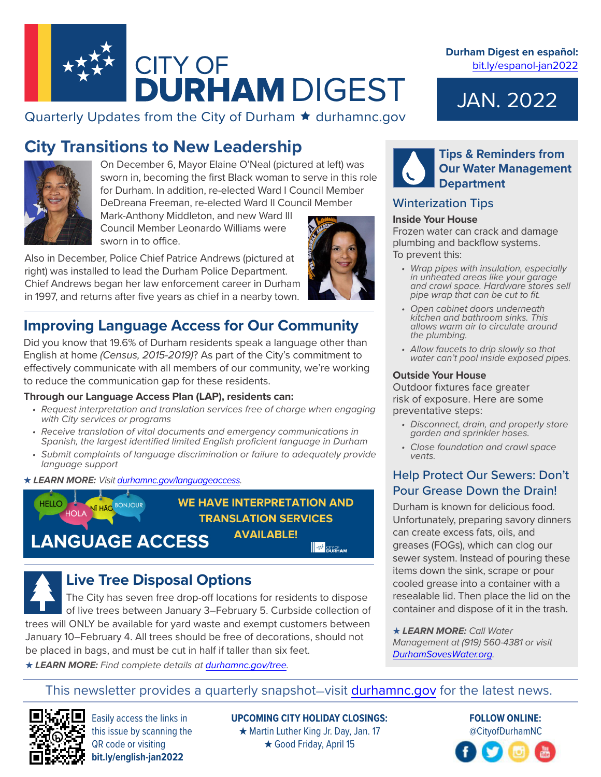

## Quarterly Updates from the City of Durham  $\star$  durhamnc.gov

# **City Transitions to New Leadership**



On December 6, Mayor Elaine O'Neal (pictured at left) was sworn in, becoming the first Black woman to serve in this role for Durham. In addition, re-elected Ward I Council Member DeDreana Freeman, re-elected Ward II Council Member

Mark-Anthony Middleton, and new Ward III Council Member Leonardo Williams were sworn in to office.

Also in December, Police Chief Patrice Andrews (pictured at right) was installed to lead the Durham Police Department. Chief Andrews began her law enforcement career in Durham in 1997, and returns after five years as chief in a nearby town.

## **Improving Language Access for Our Community**

Did you know that 19.6% of Durham residents speak a language other than English at home *(Census, 2015-2019)*? As part of the City's commitment to effectively communicate with all members of our community, we're working to reduce the communication gap for these residents.

#### **Through our Language Access Plan (LAP), residents can:**

- *• Request interpretation and translation services free of charge when engaging with City services or programs*
- *• Receive translation of vital documents and emergency communications in Spanish, the largest identified limited English proficient language in Durham*
- *• Submit complaints of language discrimination or failure to adequately provide language support*

#### *★ LEARN MORE: Visit* [durhamnc.gov/languageaccess](https://durhamnc.gov/4653/Language-Access)*.*



**WE HAVE INTERPRETATION AND TRANSLATION SERVICES AVAILABLE! BURHAM** 

**LANGUAGE ACCESS** 

# **Live Tree Disposal Options**

The City has seven free drop-off locations for residents to dispose of live trees between January 3–February 5. Curbside collection of trees will ONLY be available for yard waste and exempt customers between January 10–February 4. All trees should be free of decorations, should not be placed in bags, and must be cut in half if taller than six feet.

*★ LEARN MORE: Find complete details at* [durhamnc.gov/tree](https://durhamnc.gov/4370/Live-Tree-Disposal-Options)*.*

**Durham Digest en español:**  [bit.ly/espanol-jan2022](https://durhamnc.gov/ArchiveCenter/ViewFile/Item/5383)

# JAN. 2022



## **Tips & Reminders from Our Water Management Department**

## Winterization Tips

#### **Inside Your House**

Frozen water can crack and damage plumbing and backflow systems. To prevent this:

- *• Wrap pipes with insulation, especially in unheated areas like your garage and crawl space. Hardware stores sell pipe wrap that can be cut to fit.*
- *• Open cabinet doors underneath kitchen and bathroom sinks. This allows warm air to circulate around the plumbing.*
- *• Allow faucets to drip slowly so that water can't pool inside exposed pipes.*

#### **Outside Your House**

Outdoor fixtures face greater risk of exposure. Here are some preventative steps:

- *• Disconnect, drain, and properly store garden and sprinkler hoses.*
- *• Close foundation and crawl space vents.*

## Help Protect Our Sewers: Don't Pour Grease Down the Drain!

Durham is known for delicious food. Unfortunately, preparing savory dinners can create excess fats, oils, and greases (FOGs), which can clog our sewer system. Instead of pouring these items down the sink, scrape or pour cooled grease into a container with a resealable lid. Then place the lid on the container and dispose of it in the trash.

*★ LEARN MORE: Call Water Management at (919) 560-4381 or visit* [DurhamSavesWater.org.](https://durhamnc.gov/1061/Durham-Saves-Water)

## This newsletter provides a quarterly snapshot-visit [durhamnc.gov](https://durhamnc.gov/) for the latest news.



Easily access the links in this issue by scanning the QR code or visiting **bit.ly/english-jan2022**

**UPCOMING CITY HOLIDAY CLOSINGS:**  *★* Martin Luther King Jr. Day, Jan. 17 *★* Good Friday, April 15

**FOLLOW ONLINE:** @CityofDurhamNC